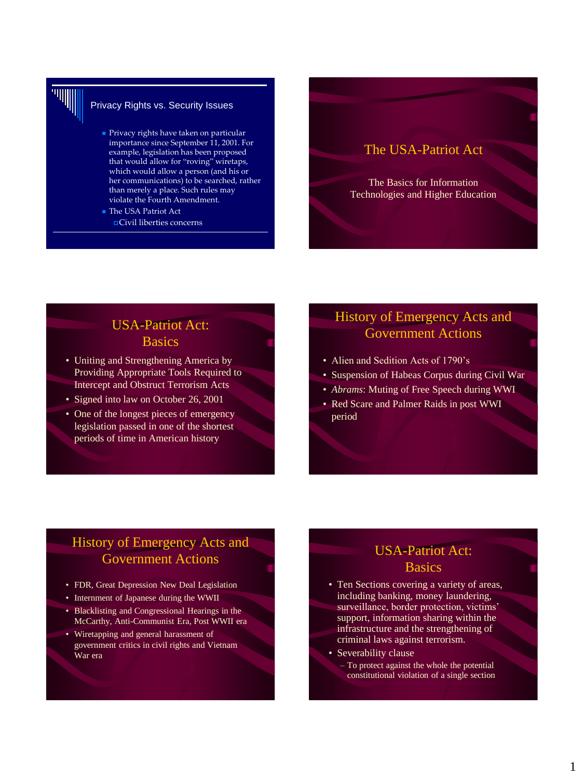

### Privacy Rights vs. Security Issues

- **Privacy rights have taken on particular** importance since September 11, 2001. For example, legislation has been proposed that would allow for "roving" wiretaps, which would allow a person (and his or her communications) to be searched, rather than merely a place. Such rules may violate the Fourth Amendment.
- The USA Patriot Act Civil liberties concerns

## The USA-Patriot Act

The Basics for Information Technologies and Higher Education

## USA-Patriot Act: **Basics**

- Uniting and Strengthening America by Providing Appropriate Tools Required to Intercept and Obstruct Terrorism Acts
- Signed into law on October 26, 2001
- One of the longest pieces of emergency legislation passed in one of the shortest periods of time in American history

## History of Emergency Acts and Government Actions

- Alien and Sedition Acts of 1790's
- Suspension of Habeas Corpus during Civil War
- *Abrams*: Muting of Free Speech during WWI
- Red Scare and Palmer Raids in post WWI period

## History of Emergency Acts and Government Actions

- FDR, Great Depression New Deal Legislation
- Internment of Japanese during the WWII
- Blacklisting and Congressional Hearings in the McCarthy, Anti-Communist Era, Post WWII era
- Wiretapping and general harassment of government critics in civil rights and Vietnam War era

## USA-Patriot Act: **Basics**

- Ten Sections covering a variety of areas, including banking, money laundering, surveillance, border protection, victims' support, information sharing within the infrastructure and the strengthening of criminal laws against terrorism.
- Severability clause
	- To protect against the whole the potential constitutional violation of a single section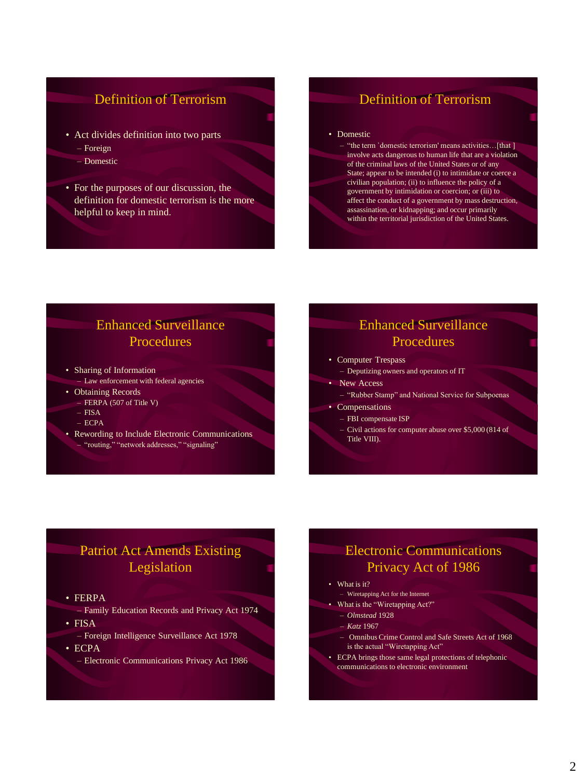## Definition of Terrorism

- Act divides definition into two parts
	- Foreign
	- Domestic
- For the purposes of our discussion, the definition for domestic terrorism is the more helpful to keep in mind.

## Definition of Terrorism

#### • Domestic

"the term `domestic terrorism' means activities...[that ] involve acts dangerous to human life that are a violation of the criminal laws of the United States or of any State; appear to be intended (i) to intimidate or coerce a civilian population; (ii) to influence the policy of a government by intimidation or coercion; or (iii) to affect the conduct of a government by mass destruction, assassination, or kidnapping; and occur primarily within the territorial jurisdiction of the United States.

## Enhanced Surveillance **Procedures**

- Sharing of Information
- Law enforcement with federal agencies
- Obtaining Records
- FERPA (507 of Title V)
- FISA
- ECPA
- Rewording to Include Electronic Communications – "routing," "network addresses," "signaling"

## Enhanced Surveillance **Procedures**

- Computer Trespass
- Deputizing owners and operators of IT
- New Access
	- "Rubber Stamp" and National Service for Subpoenas
- Compensations
	- FBI compensate ISP
	- Civil actions for computer abuse over \$5,000 (814 of Title VIII).

## Patriot Act Amends Existing Legislation

- FERPA
	- Family Education Records and Privacy Act 1974
- FISA
	- Foreign Intelligence Surveillance Act 1978
- ECPA
	- Electronic Communications Privacy Act 1986

## Electronic Communications Privacy Act of 1986

- What is it?
- Wiretapping Act for the Internet • What is the "Wiretapping Act?"
- *Olmstead* 1928
	- *Katz* 1967
		-
	- Omnibus Crime Control and Safe Streets Act of 1968 is the actual "Wiretapping Act"
- ECPA brings those same legal protections of telephonic communications to electronic environment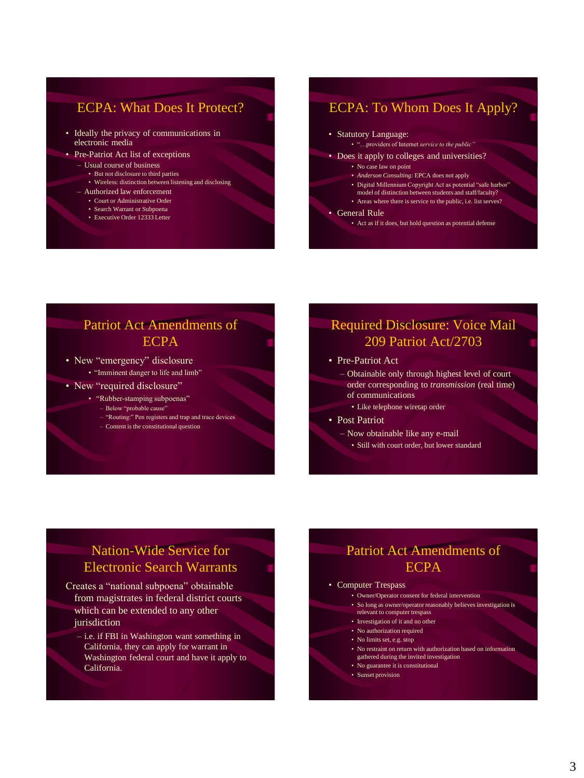## ECPA: What Does It Protect?

- Ideally the privacy of communications in electronic media
- Pre-Patriot Act list of exceptions
	- Usual course of business
		- But not disclosure to third parties
		- Wireless: distinction between listening and disclosing
	- Authorized law enforcement
		- Court or Administrative Order
		- Search Warrant or Subpoena • Executive Order 12333 Letter

## ECPA: To Whom Does It Apply?

#### • Statutory Language:

- "…providers of Internet *service to the public"*
- Does it apply to colleges and universities?
	- No case law on point
	- *Anderson Consulting:* EPCA does not apply
	- Digital Millennium Copyright Act as potential "safe harbor" model of distinction between students and staff/faculty?
	- Areas where there is service to the public, i.e. list serves?

#### • General Rule

• Act as if it does, but hold question as potential defense

## Patriot Act Amendments of **ECPA**

• New "emergency" disclosure • "Imminent danger to life and limb"

- New "required disclosure"
	- "Rubber-stamping subpoenas"
		- Below "probable cause"
		- "Routing:" Pen registers and trap and trace devices
		- Content is the constitutional question

## Required Disclosure: Voice Mail 209 Patriot Act/2703

• Pre-Patriot Act

- Obtainable only through highest level of court order corresponding to *transmission* (real time) of communications
	- Like telephone wiretap order
- Post Patriot
	- Now obtainable like any e-mail
	- Still with court order, but lower standard

## Nation-Wide Service for Electronic Search Warrants

- Creates a "national subpoena" obtainable from magistrates in federal district courts which can be extended to any other iurisdiction
	- i.e. if FBI in Washington want something in California, they can apply for warrant in Washington federal court and have it apply to California.

## Patriot Act Amendments of ECPA

#### • Computer Trespass

- Owner/Operator consent for federal intervention
- So long as owner/operator reasonably believes investigation is relevant to computer trespass
- Investigation of it and no other
- No authorization required
- No limits set, e.g. stop
- No restraint on return with authorization based on information gathered during the invited investigation
- No guarantee it is constitutional
- Sunset provision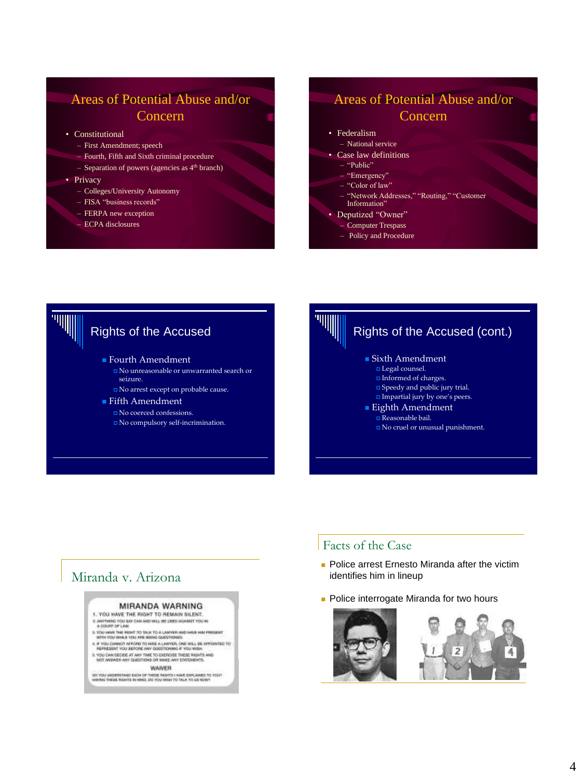## Areas of Potential Abuse and/or Concern

- Constitutional
	- First Amendment; speech
	- Fourth, Fifth and Sixth criminal procedure
	- $-$  Separation of powers (agencies as  $4<sup>th</sup>$  branch)
- Privacy
	- Colleges/University Autonomy
	- FISA "business records"
	- FERPA new exception
	- ECPA disclosures

## Areas of Potential Abuse and/or Concern

- Federalism
- National service • Case law definitions
	- "Public"
	- "Emergency"
	- "Color of law"
	- "Network Addresses," "Routing," "Customer
	- Information"
- Deputized "Owner"
	- Computer Trespass
	- Policy and Procedure



- Fourth Amendment
	- No unreasonable or unwarranted search or seizure.
	- No arrest except on probable cause.
- **Fifth Amendment** 
	- No coerced confessions.
	- No compulsory self-incrimination.



No cruel or unusual punishment.

## Facts of the Case

- **Police arrest Ernesto Miranda after the victim** identifies him in lineup
- **Police interrogate Miranda for two hours**



### Miranda v. Arizona

#### MIRANDA WARNING

1. YOU HAVE THE RIGHT TO REMAIN SILENT. II. ANSTERMIS YOU BAY CAM AND WILL WE USED AGAINST YOU IN A COURT OF LAW.

- 
- IS YOU HAVE THE RIGHT TO TIGHT TO A GARANTA AND HAVE HAN PRIDERT WITH YOU WHILE YOU ARE BERED CONSTRUCTED. A IF YOU CHANGE TO REPORT THE APPOINTMENT TO REPORT OF A IF YOU CHANGE AND YOU CHANGE.
- 5. YOU CAN DECIDE AT ANY TIME TO EXERCISE THESE WIDITS AND NOT ANDIVER ANY GUIDETIDES OR WAKE ANY STATEMENTS.
	- **WAIVER**

DO VOLLUNDERSTAND EACH OF THESE FACHTS I HAVE EUPLAINED TO VOLP<br>HAVAGE THESE RIGHTS REMENS, DO YOU WISH TO DILA, TO US NOW!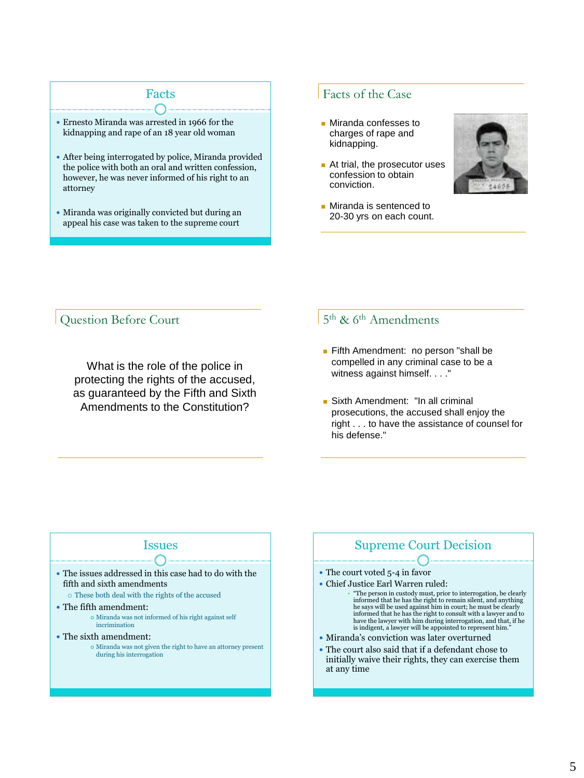## Facts

- Ernesto Miranda was arrested in 1966 for the kidnapping and rape of an 18 year old woman
- After being interrogated by police, Miranda provided the police with both an oral and written confession, however, he was never informed of his right to an attorney
- Miranda was originally convicted but during an appeal his case was taken to the supreme court

### Facts of the Case

- **Miranda confesses to** charges of rape and kidnapping.
- At trial, the prosecutor uses confession to obtain conviction.



**Miranda is sentenced to** 20-30 yrs on each count.

### Question Before Court

What is the role of the police in protecting the rights of the accused, as guaranteed by the Fifth and Sixth Amendments to the Constitution?

### 5<sup>th</sup> & 6<sup>th</sup> Amendments

- **Fifth Amendment: no person "shall be** compelled in any criminal case to be a witness against himself. . . ."
- **Sixth Amendment: "In all criminal** prosecutions, the accused shall enjoy the right . . . to have the assistance of counsel for his defense."

### Issues

- The issues addressed in this case had to do with the fifth and sixth amendments
	- These both deal with the rights of the accused
- The fifth amendment:
	- Miranda was not informed of his right against self incrimination
- The sixth amendment:
	- Miranda was not given the right to have an attorney present during his interrogation

## Supreme Court Decision

- The court voted 5-4 in favor
- Chief Justice Earl Warren ruled:
	- "The person in custody must, prior to interrogation, be clearly informed that he has the right to remain silent, and anything he says will be used against him in court; he must be clearly<br>informed that he has the right to consult with a lawyer and to<br>have the lawyer with him during interrogation, and that, if he<br>is indigent, a lawyer will be appo
- Miranda's conviction was later overturned
- The court also said that if a defendant chose to initially waive their rights, they can exercise them at any time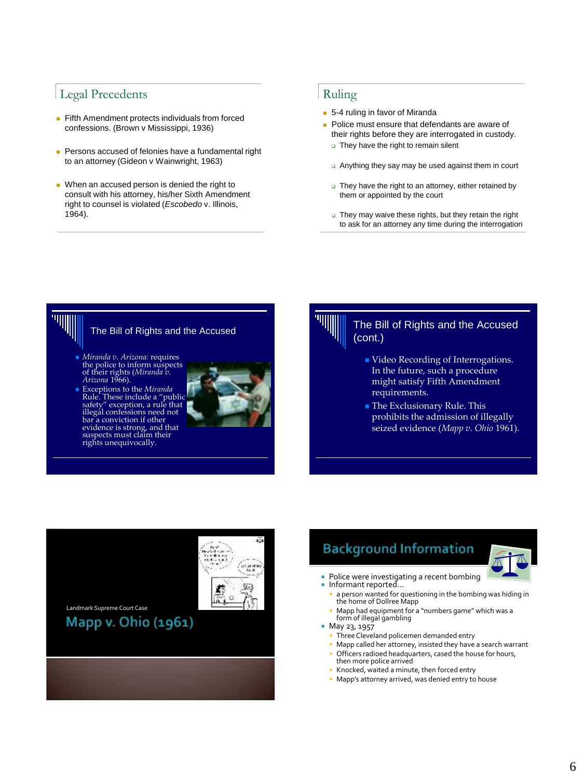## Legal Precedents

- Fifth Amendment protects individuals from forced confessions. (Brown v Mississippi, 1936)
- **Persons accused of felonies have a fundamental right** to an attorney (Gideon v Wainwright, 1963)
- When an accused person is denied the right to consult with his attorney, his/her Sixth Amendment right to counsel is violated (*Escobedo* v. Illinois, 1964).

### Ruling

- 5-4 ruling in favor of Miranda
- **Police must ensure that defendants are aware of** their rights before they are interrogated in custody.
	- □ They have the right to remain silent
	- Anything they say may be used against them in court
	- $\Box$  They have the right to an attorney, either retained by them or appointed by the court
	- They may waive these rights, but they retain the right to ask for an attorney any time during the interrogation



### The Bill of Rights and the Accused

- *Miranda v. Arizona:* requires the police to inform suspects of their rights (*Miranda v. Arizona* 1966).
- Exceptions to the *Miranda* Rule. These include a "public safety" exception, a rule that illegal confessions need not bar a conviction if other evidence is strong, and that suspects must claim their rights unequivocally.



### The Bill of Rights and the Accused (cont.)

- Video Recording of Interrogations. In the future, such a procedure might satisfy Fifth Amendment requirements.
- **The Exclusionary Rule. This** prohibits the admission of illegally seized evidence (*Mapp v. Ohio* 1961).



# **Background Information**



- **Police were investigating a recent bombing** ■ Informant reported...
	- a person wanted for questioning in the bombing was hiding in the home of Dollree Mapp
	- Mapp had equipment for a "numbers game" which was a form of illegal gambling
- **May 23, 1957** 
	- **Three Cleveland policemen demanded entry**
	- Mapp called her attorney, insisted they have a search warrant
	- Officers radioed headquarters, cased the house for hours, then more police arrived
	- Knocked, waited a minute, then forced entry
	- Mapp's attorney arrived, was denied entry to house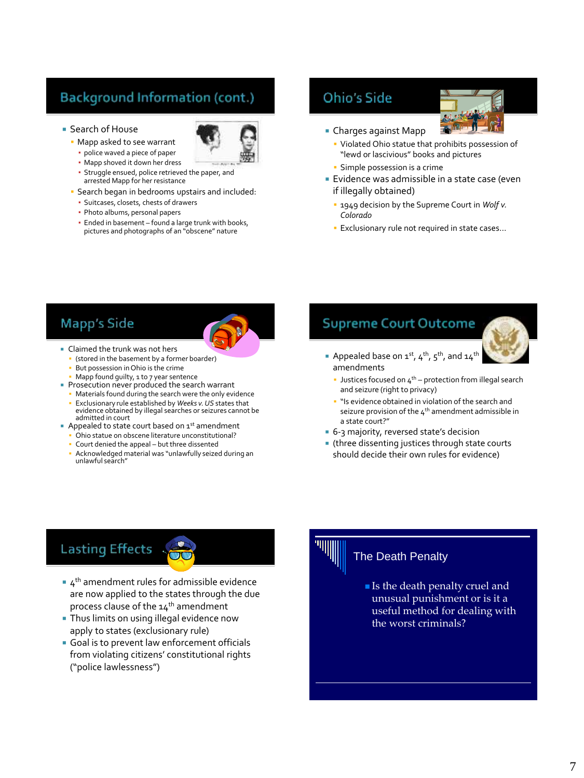# **Background Information (cont.)**



- Mapp asked to see warrant
	- police waved a piece of paper



- Mapp shoved it down her dress ▪ Struggle ensued, police retrieved the paper, and
- arrested Mapp for her resistance
- Search began in bedrooms upstairs and included:
	- Suitcases, closets, chests of drawers
	- Photo albums, personal papers
	- **Ended in basement found a large trunk with books,** pictures and photographs of an "obscene" nature

## **Ohio's Side**



- Charges against Mapp
	- Violated Ohio statue that prohibits possession of "lewd or lascivious" books and pictures
	- **Simple possession is a crime**
- **Exidence was admissible in a state case (even** if illegally obtained)
	- 1949 decision by the Supreme Court in *Wolf v. Colorado*
	- **Exclusionary rule not required in state cases...**

## **Mapp's Side**



- Claimed the trunk was not hers
	- (stored in the basement by a former boarder)
	- But possession in Ohio is the crime
	- Mapp found guilty, 1 to 7 year sentence
- Prosecution never produced the search warrant
	- Materials found during the search were the only evidence
	- Exclusionary rule established by *Weeks v. US* states that evidence obtained by illegal searches or seizures cannot be admitted in court
- Appealed to state court based on  $1^{st}$  amendment
	- Ohio statue on obscene literature unconstitutional?
	- Court denied the appeal but three dissented
	- Acknowledged material was "unlawfully seized during an unlawful search"

## **Supreme Court Outcome**

- Appealed base on 1<sup>st</sup>, 4<sup>th</sup>, 5<sup>th</sup>, and 14<sup>th</sup> amendments
	- **Justices focused on**  $4^{th}$  **protection from illegal search** and seizure (right to privacy)
	- " "Is evidence obtained in violation of the search and seizure provision of the  $4<sup>th</sup>$  amendment admissible in a state court?"
- 6-3 majority, reversed state's decision
- (three dissenting justices through state courts should decide their own rules for evidence)

# **Lasting Effects**

- $\bullet$  4<sup>th</sup> amendment rules for admissible evidence are now applied to the states through the due process clause of the 14<sup>th</sup> amendment
- **Thus limits on using illegal evidence now** apply to states (exclusionary rule)
- Goal is to prevent law enforcement officials from violating citizens' constitutional rights ("police lawlessness")

### The Death Penalty

**Is the death penalty cruel and** unusual punishment or is it a useful method for dealing with the worst criminals?